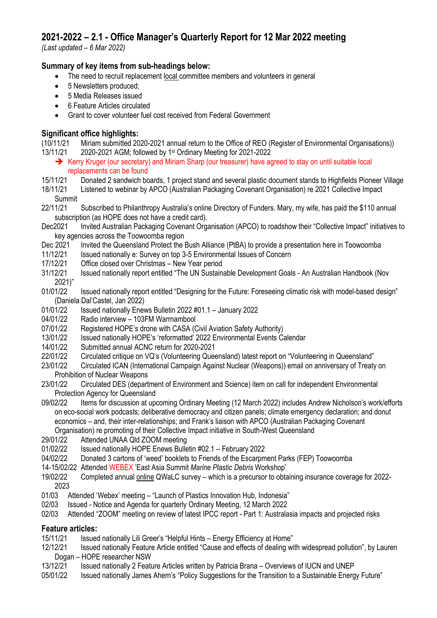# **2021-2022 – 2.1 - Office Manager's Quarterly Report for 12 Mar 2022 meeting**

*(Last updated – 6 Mar 2022)*

## **Summary of key items from sub-headings below:**

- The need to recruit replacement local committee members and volunteers in general
- 5 Newsletters produced:
- 5 Media Releases issued
- 6 Feature Articles circulated
- Grant to cover volunteer fuel cost received from Federal Government

## **Significant office highlights:**

(10/11/21 Miriam submitted 2020-2021 annual return to the Office of REO (Register of Environmental Organisations)) 13/11/21 2020-2021 AGM; followed by 1st Ordinary Meeting for 2021-2022

- ➔ Kerry Kruger (our secretary) and Miriam Sharp (our treasurer) have agreed to stay on until suitable local replacements can be found
- 15/11/21 Donated 2 sandwich boards, 1 project stand and several plastic document stands to Highfields Pioneer Village
- 18/11/21 Listened to webinar by APCO (Australian Packaging Covenant Organisation) re 2021 Collective Impact Summit
- 22/11/21 Subscribed to Philanthropy Australia's online Directory of Funders. Mary, my wife, has paid the \$110 annual subscription (as HOPE does not have a credit card).

Dec2021 Invited Australian Packaging Covenant Organisation (APCO) to roadshow their "Collective Impact" initiatives to key agencies across the Toowoomba region

- Dec 2021 Invited the Queensland Protect the Bush Alliance (PtBA) to provide a presentation here in Toowoomba
- 11/12/21 Issued nationally e: Survey on top 3-5 Environmental Issues of Concern
- 17/12/21 Office closed over Christmas New Year period
- 31/12/21 Issued nationally report entitled "The UN Sustainable Development Goals An Australian Handbook (Nov 2021)"

01/01/22 Issued nationally report entitled "Designing for the Future: Foreseeing climatic risk with model-based design" (Daniela Dal'Castel, Jan 2022)

- 01/01/22 Issued nationally Enews Bulletin 2022 #01.1 January 2022
- 04/01/22 Radio interview 103FM Warrnambool
- 07/01/22 Registered HOPE's drone with CASA (Civil Aviation Safety Authority)
- 13/01/22 Issued nationally HOPE's 'reformatted' 2022 Environmental Events Calendar
- 14/01/22 Submitted annual ACNC return for 2020-2021
- 22/01/22 Circulated critique on VQ's (Volunteering Queensland) latest report on "Volunteering in Queensland"
- 23/01/22 Circulated ICAN (International Campaign Against Nuclear (Weapons)) email on anniversary of Treaty on Prohibition of Nuclear Weapons
- 23/01/22 Circulated DES (department of Environment and Science) item on call for independent Environmental Protection Agency for Queensland
- 09/02/22 Items for discussion at upcoming Ordinary Meeting (12 March 2022) includes Andrew Nicholson's work/efforts on eco-social work podcasts; deliberative democracy and citizen panels; climate emergency declaration; and donut economics – and, their inter-relationships; and Frank's liaison with APCO (Australian Packaging Covenant Organisation) re promoting of their Collective Impact initiative in South-West Queensland

29/01/22 Attended UNAA Qld ZOOM meeting

- 01/02/22 Issued nationally HOPE Enews Bulletin #02.1 February 2022
- 04/02/22 Donated 3 cartons of 'weed' booklets to Friends of the Escarpment Parks (FEP) Toowoomba
- 14-15/02/22 Attended WEBEX 'East Asia Summit *Marine Plastic Debris* Workshop'
- 19/02/22 Completed annual online QWaLC survey which is a precursor to obtaining insurance coverage for 2022- 2023
- 01/03 Attended 'Webex' meeting "Launch of Plastics Innovation Hub, Indonesia"
- 02/03 Issued Notice and Agenda for quarterly Ordinary Meeting, 12 March 2022
- 02/03 Attended "ZOOM" meeting on review of latest IPCC report Part 1: Australasia impacts and projected risks

## **Feature articles:**

- 15/11/21 Issued nationally Lili Greer's "Helpful Hints Energy Efficiency at Home"
- 12/12/21 Issued nationally Feature Article entitled "Cause and effects of dealing with widespread pollution", by Lauren Dogan – HOPE researcher NSW
- 13/12/21 Issued nationally 2 Feature Articles written by Patricia Brana Overviews of IUCN and UNEP
- 05/01/22 Issued nationally James Ahern's "Policy Suggestions for the Transition to a Sustainable Energy Future"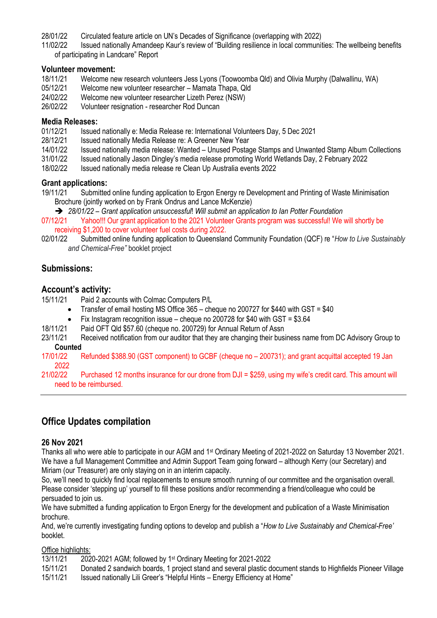28/01/22 Circulated feature article on UN's Decades of Significance (overlapping with 2022)

11/02/22 Issued nationally Amandeep Kaur's review of "Building resilience in local communities: The wellbeing benefits of participating in Landcare" Report

#### **Volunteer movement:**

- 18/11/21 Welcome new research volunteers Jess Lyons (Toowoomba Qld) and Olivia Murphy (Dalwallinu, WA)
- 05/12/21 Welcome new volunteer researcher Mamata Thapa, Qld
- 24/02/22 Welcome new volunteer researcher Lizeth Perez (NSW)
- 26/02/22 Volunteer resignation researcher Rod Duncan

### **Media Releases:**

- 01/12/21 Issued nationally e: Media Release re: International Volunteers Day, 5 Dec 2021<br>28/12/21 Issued nationally Media Release re: A Greener New Year
- 28/12/21 Issued nationally Media Release re: A Greener New Year<br>14/01/22 Issued nationally media release: Wanted Unused Posta
- 14/01/22 Issued nationally media release: Wanted Unused Postage Stamps and Unwanted Stamp Album Collections
- 31/01/22 Issued nationally Jason Dingley's media release promoting World Wetlands Day, 2 February 2022
- 18/02/22 Issued nationally media release re Clean Up Australia events 2022

#### **Grant applications:**

- 19/11/21 Submitted online funding application to Ergon Energy re Development and Printing of Waste Minimisation Brochure (jointly worked on by Frank Ondrus and Lance McKenzie)
	- ➔ *28/01/22 – Grant application unsuccessful*! *Will submit an application to Ian Potter Foundation*

07/12/21 Yahoo!!! Our grant application to the 2021 Volunteer Grants program was successful! We will shortly be receiving \$1,200 to cover volunteer fuel costs during 2022.

02/01/22 Submitted online funding application to Queensland Community Foundation (QCF) re "*How to Live Sustainably and Chemical-Free"* booklet project

## **Submissions:**

### **Account's activity:**

15/11/21 Paid 2 accounts with Colmac Computers P/L

- Transfer of email hosting MS Office 365 cheque no 200727 for \$440 with GST = \$40
- Fix Instagram recognition issue cheque no 200728 for \$40 with GST = \$3.64
- 18/11/21 Paid OFT Qld \$57.60 (cheque no. 200729) for Annual Return of Assn
- 23/11/21 Received notification from our auditor that they are changing their business name from DC Advisory Group to **Counted**
- 17/01/22 Refunded \$388.90 (GST component) to GCBF (cheque no 200731); and grant acquittal accepted 19 Jan 2022
- 21/02/22 Purchased 12 months insurance for our drone from DJI = \$259, using my wife's credit card. This amount will need to be reimbursed.

## **Office Updates compilation**

#### **26 Nov 2021**

Thanks all who were able to participate in our AGM and 1st Ordinary Meeting of 2021-2022 on Saturday 13 November 2021. We have a full Management Committee and Admin Support Team going forward – although Kerry (our Secretary) and Miriam (our Treasurer) are only staying on in an interim capacity.

So, we'll need to quickly find local replacements to ensure smooth running of our committee and the organisation overall. Please consider 'stepping up' yourself to fill these positions and/or recommending a friend/colleague who could be persuaded to join us.

We have submitted a funding application to Ergon Energy for the development and publication of a Waste Minimisation brochure.

And, we're currently investigating funding options to develop and publish a "*How to Live Sustainably and Chemical-Free'* booklet.

#### Office highlights:

- 13/11/21 2020-2021 AGM; followed by 1st Ordinary Meeting for 2021-2022
- 15/11/21 Donated 2 sandwich boards, 1 project stand and several plastic document stands to Highfields Pioneer Village
- 15/11/21 Issued nationally Lili Greer's "Helpful Hints Energy Efficiency at Home"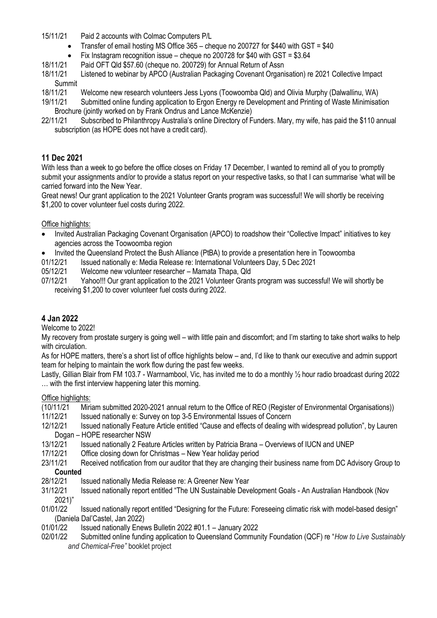15/11/21 Paid 2 accounts with Colmac Computers P/L

- Transfer of email hosting MS Office 365 cheque no 200727 for \$440 with GST = \$40
- Fix Instagram recognition issue cheque no 200728 for \$40 with GST = \$3.64
- 18/11/21 Paid OFT Qld \$57.60 (cheque no. 200729) for Annual Return of Assn
- 18/11/21 Listened to webinar by APCO (Australian Packaging Covenant Organisation) re 2021 Collective Impact Summit
- 18/11/21 Welcome new research volunteers Jess Lyons (Toowoomba Qld) and Olivia Murphy (Dalwallinu, WA)
- 19/11/21 Submitted online funding application to Ergon Energy re Development and Printing of Waste Minimisation Brochure (iointly worked on by Frank Ondrus and Lance McKenzie)
- 22/11/21 Subscribed to Philanthropy Australia's online Directory of Funders. Mary, my wife, has paid the \$110 annual subscription (as HOPE does not have a credit card).

### **11 Dec 2021**

With less than a week to go before the office closes on Friday 17 December, I wanted to remind all of you to promptly submit your assignments and/or to provide a status report on your respective tasks, so that I can summarise 'what will be carried forward into the New Year.

Great news! Our grant application to the 2021 Volunteer Grants program was successful! We will shortly be receiving \$1,200 to cover volunteer fuel costs during 2022.

#### Office highlights:

- Invited Australian Packaging Covenant Organisation (APCO) to roadshow their "Collective Impact" initiatives to key agencies across the Toowoomba region
- Invited the Queensland Protect the Bush Alliance (PtBA) to provide a presentation here in Toowoomba
- 01/12/21 Issued nationally e: Media Release re: International Volunteers Day, 5 Dec 2021
- 05/12/21 Welcome new volunteer researcher Mamata Thapa, Qld
- 07/12/21 Yahoo!!! Our grant application to the 2021 Volunteer Grants program was successful! We will shortly be receiving \$1,200 to cover volunteer fuel costs during 2022.

### **4 Jan 2022**

Welcome to 2022!

My recovery from prostate surgery is going well – with little pain and discomfort; and I'm starting to take short walks to help with circulation.

As for HOPE matters, there's a short list of office highlights below – and, I'd like to thank our executive and admin support team for helping to maintain the work flow during the past few weeks.

Lastly, Gillian Blair from FM 103.7 - Warrnambool, Vic, has invited me to do a monthly ½ hour radio broadcast during 2022 … with the first interview happening later this morning.

#### Office highlights:

- (10/11/21 Miriam submitted 2020-2021 annual return to the Office of REO (Register of Environmental Organisations))
- 11/12/21 Issued nationally e: Survey on top 3-5 Environmental Issues of Concern
- 12/12/21 Issued nationally Feature Article entitled "Cause and effects of dealing with widespread pollution", by Lauren Dogan – HOPE researcher NSW
- 13/12/21 Issued nationally 2 Feature Articles written by Patricia Brana Overviews of IUCN and UNEP<br>17/12/21 Office closing down for Christmas New Year holiday period
- Office closing down for Christmas New Year holiday period
- 23/11/21 Received notification from our auditor that they are changing their business name from DC Advisory Group to **Counted**
- 28/12/21 Issued nationally Media Release re: A Greener New Year
- 31/12/21 Issued nationally report entitled "The UN Sustainable Development Goals An Australian Handbook (Nov 2021)"
- 01/01/22 Issued nationally report entitled "Designing for the Future: Foreseeing climatic risk with model-based design" (Daniela Dal'Castel, Jan 2022)
- 01/01/22 Issued nationally Enews Bulletin 2022 #01.1 January 2022
- 02/01/22 Submitted online funding application to Queensland Community Foundation (QCF) re "*How to Live Sustainably and Chemical-Free"* booklet project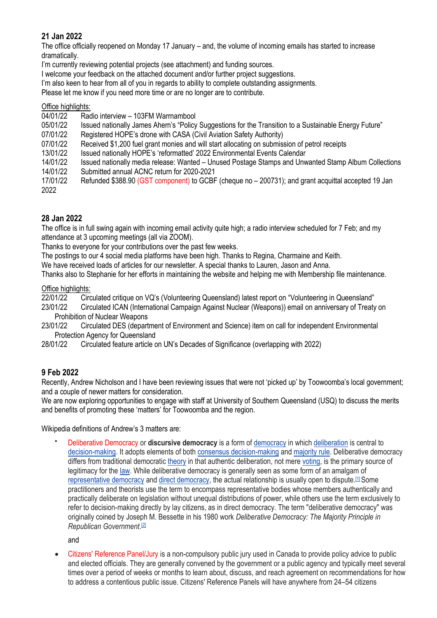## **21 Jan 2022**

The office officially reopened on Monday 17 January – and, the volume of incoming emails has started to increase dramatically.

I'm currently reviewing potential projects (see attachment) and funding sources.

I welcome your feedback on the attached document and/or further project suggestions.

I'm also keen to hear from all of you in regards to ability to complete outstanding assignments.

Please let me know if you need more time or are no longer are to contribute.

#### Office highlights:

04/01/22 Radio interview – 103FM Warrnambool

05/01/22 Issued nationally James Ahern's "Policy Suggestions for the Transition to a Sustainable Energy Future"

07/01/22 Registered HOPE's drone with CASA (Civil Aviation Safety Authority)

07/01/22 Received \$1,200 fuel grant monies and will start allocating on submission of petrol receipts

13/01/22 Issued nationally HOPE's 'reformatted' 2022 Environmental Events Calendar

14/01/22 Issued nationally media release: Wanted – Unused Postage Stamps and Unwanted Stamp Album Collections 14/01/22 Submitted annual ACNC return for 2020-2021

17/01/22 Refunded \$388.90 (GST component) to GCBF (cheque no – 200731); and grant acquittal accepted 19 Jan 2022

## **28 Jan 2022**

The office is in full swing again with incoming email activity quite high; a radio interview scheduled for 7 Feb; and my attendance at 3 upcoming meetings (all via ZOOM).

Thanks to everyone for your contributions over the past few weeks.

The postings to our 4 social media platforms have been high. Thanks to Regina, Charmaine and Keith. We have received loads of articles for our newsletter. A special thanks to Lauren, Jason and Anna.

Thanks also to Stephanie for her efforts in maintaining the website and helping me with Membership file maintenance.

## Office highlights:

22/01/22 Circulated critique on VQ's (Volunteering Queensland) latest report on "Volunteering in Queensland" 23/01/22 Circulated ICAN (International Campaign Against Nuclear (Weapons)) email on anniversary of Treaty on

- Prohibition of Nuclear Weapons
- 23/01/22 Circulated DES (department of Environment and Science) item on call for independent Environmental Protection Agency for Queensland

28/01/22 Circulated feature article on UN's Decades of Significance (overlapping with 2022)

## **9 Feb 2022**

Recently, Andrew Nicholson and I have been reviewing issues that were not 'picked up' by Toowoomba's local government; and a couple of newer matters for consideration.

We are now exploring opportunities to engage with staff at University of Southern Queensland (USQ) to discuss the merits and benefits of promoting these 'matters' for Toowoomba and the region.

Wikipedia definitions of Andrew's 3 matters are:

• Deliberative Democracy or **discursive democracy** is a form of [democracy](https://en.wikipedia.org/wiki/Democracy) in which [deliberation](https://en.wikipedia.org/wiki/Deliberation) is central to [decision-making.](https://en.wikipedia.org/wiki/Decision-making) It adopts elements of both [consensus decision-making](https://en.wikipedia.org/wiki/Consensus_decision-making) and [majority rule.](https://en.wikipedia.org/wiki/Majority_rule) Deliberative democracy differs from traditional democratic [theory](https://en.wikipedia.org/wiki/Political_theory) in that authentic deliberation, not mere [voting,](https://en.wikipedia.org/wiki/Vote) is the primary source of legitimacy for the [law.](https://en.wikipedia.org/wiki/Law) While deliberative democracy is generally seen as some form of an amalgam of [representative democracy](https://en.wikipedia.org/wiki/Representative_democracy) and [direct democracy,](https://en.wikipedia.org/wiki/Direct_democracy) the actual relationship is usually open to dispute.[\[1\]](https://en.wikipedia.org/wiki/Deliberative_democracy#cite_note-1) Some practitioners and theorists use the term to encompass representative bodies whose members authentically and practically deliberate on legislation without unequal distributions of power, while others use the term exclusively to refer to decision-making directly by lay citizens, as in direct democracy. The term "deliberative democracy" was originally coined by Joseph M. Bessette in his 1980 work *Deliberative Democracy: The Majority Principle in Republican Government*. [\[2\]](https://en.wikipedia.org/wiki/Deliberative_democracy#cite_note-2)

and

• Citizens' Reference Panel/Jury is a non-compulsory public jury used in Canada to provide policy advice to public and elected officials. They are generally convened by the government or a public agency and typically meet several times over a period of weeks or months to learn about, discuss, and reach agreement on recommendations for how to address a contentious public issue. Citizens' Reference Panels will have anywhere from 24–54 citizens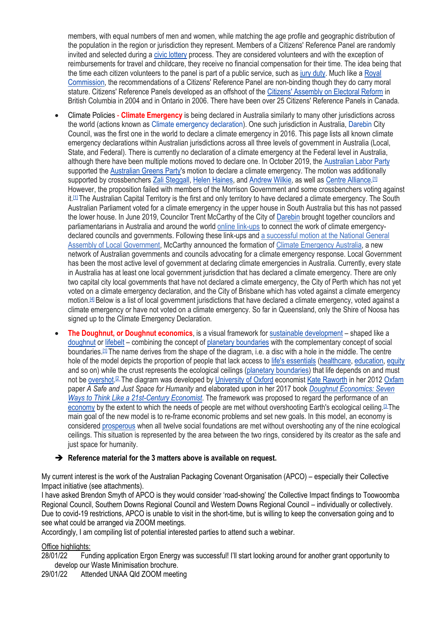members, with equal numbers of men and women, while matching the age profile and geographic distribution of the population in the region or jurisdiction they represent. Members of a Citizens' Reference Panel are randomly invited and selected during a [civic lottery](https://en.wikipedia.org/wiki/Civic_lottery) process. They are considered volunteers and with the exception of reimbursements for travel and childcare, they receive no financial compensation for their time. The idea being that the time each citizen volunteers to the panel is part of a public service, such as [jury duty.](https://en.wikipedia.org/wiki/Jury_duty) Much like a [Royal](https://en.wikipedia.org/wiki/Royal_Commission)  [Commission,](https://en.wikipedia.org/wiki/Royal_Commission) the recommendations of a Citizens' Reference Panel are non-binding though they do carry moral stature. Citizens' Reference Panels developed as an offshoot of the [Citizens' Assembly on Electoral Reform](https://en.wikipedia.org/wiki/Citizens%27_Assembly_on_Electoral_Reform_(British_Columbia)) in British Columbia in 2004 and in Ontario in 2006. There have been over 25 Citizens' Reference Panels in Canada.

- Climate Policies **Climate Emergency** is being declared in Australia similarly to many other jurisdictions across the world (actions known as [Climate emergency declaration\)](https://en.wikipedia.org/wiki/Climate_emergency_declaration). One such jurisdiction in Australia, [Darebin](https://en.wikipedia.org/wiki/Darebin) City Council, was the first one in the world to declare a climate emergency in 2016. This page lists all known climate emergency declarations within Australian jurisdictions across all three levels of government in Australia (Local, State, and Federal). There is currently no declaration of a climate emergency at the Federal level in Australia, although there have been multiple motions moved to declare one. In October 2019, the [Australian Labor Party](https://en.wikipedia.org/wiki/Australian_Labor_Party) supported the [Australian Greens Party's](https://en.wikipedia.org/wiki/Australian_Greens_Party) motion to declare a climate emergency. The motion was additionally supported by crossbenchers [Zali Steggall,](https://en.wikipedia.org/wiki/Zali_Steggall) [Helen Haines,](https://en.wikipedia.org/wiki/Helen_Haines) and [Andrew Wilkie,](https://en.wikipedia.org/wiki/Andrew_Wilkie) as well as [Centre Alliance.](https://en.wikipedia.org/wiki/Centre_Alliance)<sup>[\[1\]](https://en.wikipedia.org/wiki/Climate_emergency_declarations_in_Australia#cite_note-sbs.com.au-1)</sup> However, the proposition failed with members of the Morrison Government and some crossbenchers voting against it.<sup>[\[1\]](https://en.wikipedia.org/wiki/Climate_emergency_declarations_in_Australia#cite_note-sbs.com.au-1)</sup> The Australian Capital Territory is the first and only territory to have declared a climate emergency. The South Australian Parliament voted for a climate emergency in the upper house in South Australia but this has not passed the lower house. In June 2019, Councilor Trent McCarthy of the City of [Darebin](https://en.wikipedia.org/wiki/Darebin_City) brought together councilors and parliamentarians in Australia and around the world [online link-ups](https://www.eventbrite.com.au/e/developing-effective-local-government-climate-emergency-response-registration-62246244192) to connect the work of climate emergencydeclared councils and governments. Following these link-ups and [a successful motion at the National General](https://www.governmentnews.com.au/aussie-councils-form-nation-first-climate-alliance/)  [Assembly of Local Government,](https://www.governmentnews.com.au/aussie-councils-form-nation-first-climate-alliance/) McCarthy announced the formation of [Climate Emergency Australia,](https://www.governmentnews.com.au/aussie-councils-form-nation-first-climate-alliance/) a new network of Australian governments and councils advocating for a climate emergency response. Local Government has been the most active level of government at declaring climate emergencies in Australia. Currently, every state in Australia has at least one local government jurisdiction that has declared a climate emergency. There are only two capital city local governments that have not declared a climate emergency, the City of Perth which has not yet voted on a climate emergency declaration, and the City of Brisbane which has voted against a climate emergency motion.[\[4\]](https://en.wikipedia.org/wiki/Climate_emergency_declarations_in_Australia#cite_note-The_Courier-Mail-4) Below is a list of local government jurisdictions that have declared a climate emergency, voted against a climate emergency or have not voted on a climate emergency. So far in Queensland, only the Shire of Noosa has signed up to the Climate Emergency Declaration.
- **The Doughnut, or Doughnut economics**, is a visual framework for [sustainable development](https://en.wikipedia.org/wiki/Sustainable_development) shaped like a [doughnut](https://en.wikipedia.org/wiki/Doughnut) or [lifebelt](https://en.wikipedia.org/wiki/Lifebuoy) – combining the concept of [planetary boundaries](https://en.wikipedia.org/wiki/Planetary_boundaries) with the complementary concept of social boundaries.[\[1\]](https://en.wikipedia.org/wiki/Doughnut_(economic_model)#cite_note-1) The name derives from the shape of the diagram, i.e. a disc with a hole in the middle. The centre hole of the model depicts the proportion of people that lack access to [life's essentials](https://en.wikipedia.org/wiki/Human_rights) [\(healthcare,](https://en.wikipedia.org/wiki/Health_care) [education,](https://en.wikipedia.org/wiki/Education) [equity](https://en.wikipedia.org/wiki/Social_equity) and so on) while the crust represents the ecological ceilings [\(planetary boundaries\)](https://en.wikipedia.org/wiki/Planetary_boundaries) that life depends on and must not be **[overshot.](https://en.wikipedia.org/wiki/Environmental_issue)<sup>[\[2](https://en.wikipedia.org/wiki/Doughnut_(economic_model)#cite_note-2)</sup> The diagram was developed by [University of Oxford](https://en.wikipedia.org/wiki/University_of_Oxford) economist [Kate Raworth](https://en.wikipedia.org/wiki/Kate_Raworth)** in her 2012 [Oxfam](https://en.wikipedia.org/wiki/Oxfam) paper *A Safe and Just Space for Humanity* and elaborated upon in her 2017 book *[Doughnut Economics: Seven](https://en.wikipedia.org/wiki/Doughnut_Economics:_Seven_Ways_to_Think_Like_a_21st-Century_Economist)  [Ways to Think Like a 21st-Century Economist](https://en.wikipedia.org/wiki/Doughnut_Economics:_Seven_Ways_to_Think_Like_a_21st-Century_Economist)*. The framework was proposed to regard the performance of an [economy](https://en.wikipedia.org/wiki/Economy) by the extent to which the needs of people are met without overshooting Earth's ecological ceiling.<sup>[\[3](https://en.wikipedia.org/wiki/Doughnut_(economic_model)#cite_note-3)</sup> The main goal of the new model is to re-frame economic problems and set new goals. In this model, an economy is considered [prosperous](https://en.wikipedia.org/wiki/Prosperity) when all twelve social foundations are met without overshooting any of the nine ecological ceilings. This situation is represented by the area between the two rings, considered by its creator as the safe and just space for humanity.

#### ➔ **Reference material for the 3 matters above is available on request.**

My current interest is the work of the Australian Packaging Covenant Organisation (APCO) – especially their Collective Impact initiative (see attachments).

I have asked Brendon Smyth of APCO is they would consider 'road-showing' the Collective Impact findings to Toowoomba Regional Council, Southern Downs Regional Council and Western Downs Regional Council – individually or collectively. Due to covid-19 restrictions, APCO is unable to visit in the short-time, but is willing to keep the conversation going and to see what could be arranged via ZOOM meetings.

Accordingly, I am compiling list of potential interested parties to attend such a webinar.

#### Office highlights:

28/01/22 Funding application Ergon Energy was successful! I'll start looking around for another grant opportunity to develop our Waste Minimisation brochure.

29/01/22 Attended UNAA Qld ZOOM meeting